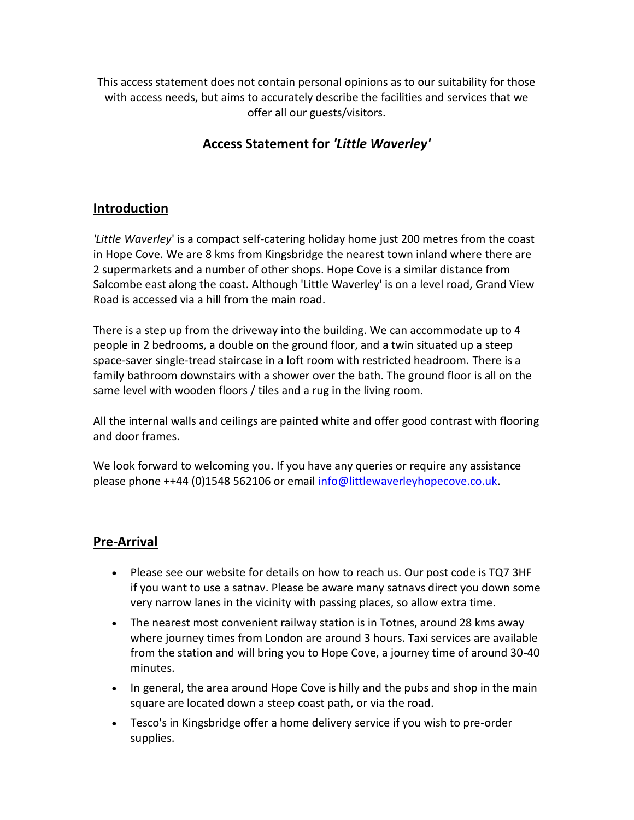This access statement does not contain personal opinions as to our suitability for those with access needs, but aims to accurately describe the facilities and services that we offer all our guests/visitors.

# **Access Statement for** *'Little Waverley'*

## **Introduction**

*'Little Waverley*' is a compact self-catering holiday home just 200 metres from the coast in Hope Cove. We are 8 kms from Kingsbridge the nearest town inland where there are 2 supermarkets and a number of other shops. Hope Cove is a similar distance from Salcombe east along the coast. Although 'Little Waverley' is on a level road, Grand View Road is accessed via a hill from the main road.

There is a step up from the driveway into the building. We can accommodate up to 4 people in 2 bedrooms, a double on the ground floor, and a twin situated up a steep space-saver single-tread staircase in a loft room with restricted headroom. There is a family bathroom downstairs with a shower over the bath. The ground floor is all on the same level with wooden floors / tiles and a rug in the living room.

All the internal walls and ceilings are painted white and offer good contrast with flooring and door frames.

We look forward to welcoming you. If you have any queries or require any assistance please phone ++44 (0)1548 562106 or email [info@littlewaverleyhopecove.co.uk.](file:///C:/Users/Hilary%20Richard/Documents/Annexe%20at%20Waverley/Regulatory/info@littlewaverleyhopecove.co.uk)

# **Pre-Arrival**

- Please see our website for details on how to reach us. Our post code is TQ7 3HF if you want to use a satnav. Please be aware many satnavs direct you down some very narrow lanes in the vicinity with passing places, so allow extra time.
- The nearest most convenient railway station is in Totnes, around 28 kms away where journey times from London are around 3 hours. Taxi services are available from the station and will bring you to Hope Cove, a journey time of around 30-40 minutes.
- In general, the area around Hope Cove is hilly and the pubs and shop in the main square are located down a steep coast path, or via the road.
- Tesco's in Kingsbridge offer a home delivery service if you wish to pre-order supplies.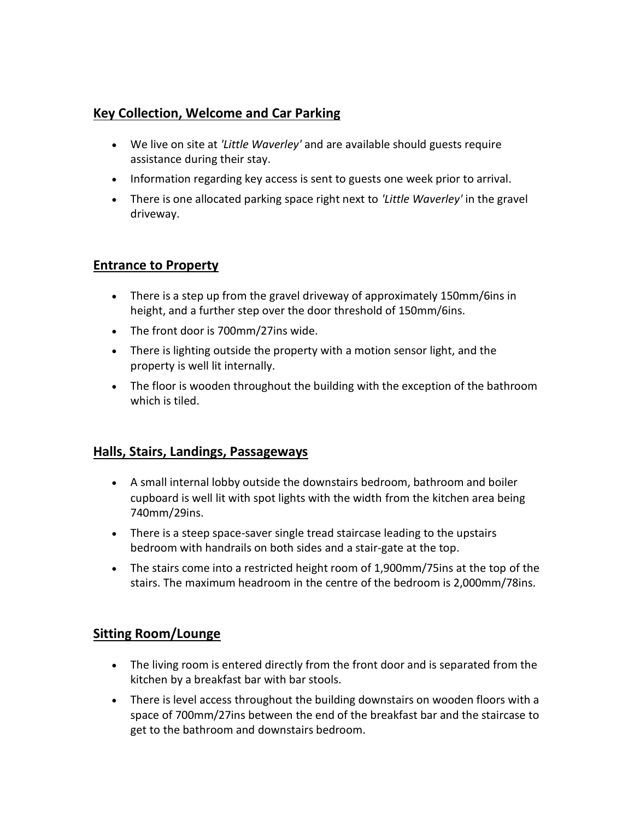## **Key Collection, Welcome and Car Parking**

- We live on site at *'Little Waverley'* and are available should guests require assistance during their stay.
- Information regarding key access is sent to guests one week prior to arrival.
- There is one allocated parking space right next to *'Little Waverley'* in the gravel driveway.

#### **Entrance to Property**

- There is a step up from the gravel driveway of approximately 150mm/6ins in height, and a further step over the door threshold of 150mm/6ins.
- The front door is 700mm/27ins wide.
- There is lighting outside the property with a motion sensor light, and the property is well lit internally.
- The floor is wooden throughout the building with the exception of the bathroom which is tiled.

#### **Halls, Stairs, Landings, Passageways**

- A small internal lobby outside the downstairs bedroom, bathroom and boiler cupboard is well lit with spot lights with the width from the kitchen area being 740mm/29ins.
- There is a steep space-saver single tread staircase leading to the upstairs bedroom with handrails on both sides and a stair-gate at the top.
- The stairs come into a restricted height room of 1,900mm/75ins at the top of the stairs. The maximum headroom in the centre of the bedroom is 2,000mm/78ins.

## **Sitting Room/Lounge**

- The living room is entered directly from the front door and is separated from the kitchen by a breakfast bar with bar stools.
- There is level access throughout the building downstairs on wooden floors with a space of 700mm/27ins between the end of the breakfast bar and the staircase to get to the bathroom and downstairs bedroom.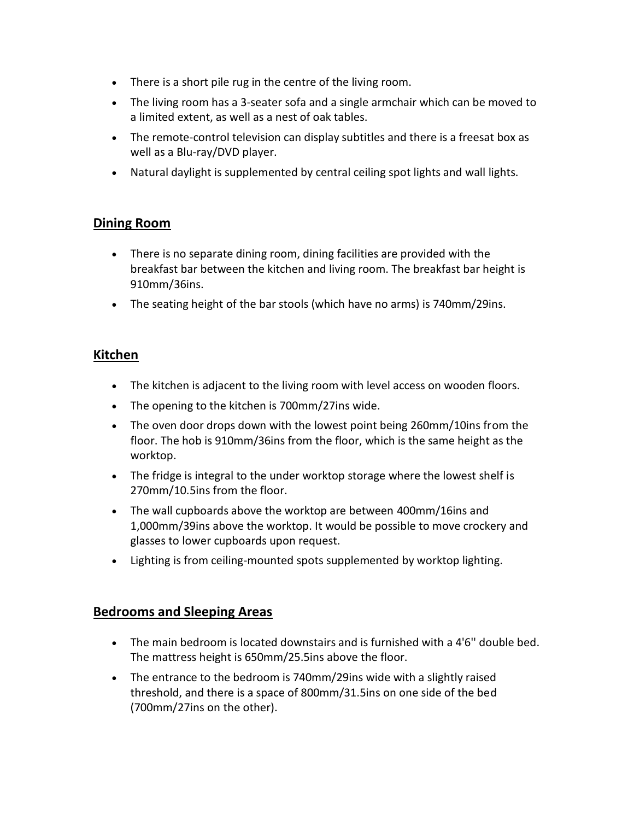- There is a short pile rug in the centre of the living room.
- The living room has a 3-seater sofa and a single armchair which can be moved to a limited extent, as well as a nest of oak tables.
- The remote-control television can display subtitles and there is a freesat box as well as a Blu-ray/DVD player.
- Natural daylight is supplemented by central ceiling spot lights and wall lights.

#### **Dining Room**

- There is no separate dining room, dining facilities are provided with the breakfast bar between the kitchen and living room. The breakfast bar height is 910mm/36ins.
- The seating height of the bar stools (which have no arms) is 740mm/29ins.

#### **Kitchen**

- The kitchen is adjacent to the living room with level access on wooden floors.
- The opening to the kitchen is 700mm/27ins wide.
- The oven door drops down with the lowest point being 260mm/10ins from the floor. The hob is 910mm/36ins from the floor, which is the same height as the worktop.
- The fridge is integral to the under worktop storage where the lowest shelf is 270mm/10.5ins from the floor.
- The wall cupboards above the worktop are between 400mm/16ins and 1,000mm/39ins above the worktop. It would be possible to move crockery and glasses to lower cupboards upon request.
- Lighting is from ceiling-mounted spots supplemented by worktop lighting.

#### **Bedrooms and Sleeping Areas**

- The main bedroom is located downstairs and is furnished with a 4'6'' double bed. The mattress height is 650mm/25.5ins above the floor.
- The entrance to the bedroom is 740mm/29ins wide with a slightly raised threshold, and there is a space of 800mm/31.5ins on one side of the bed (700mm/27ins on the other).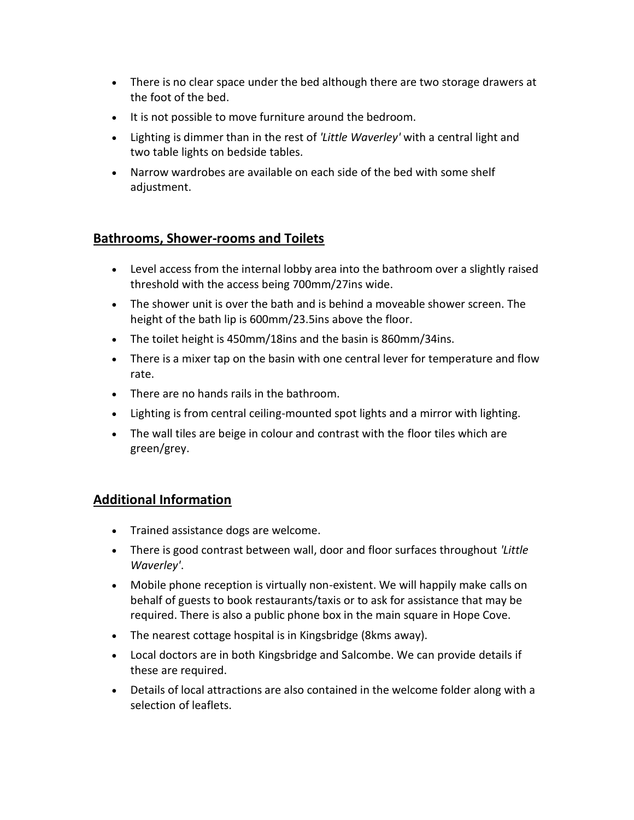- There is no clear space under the bed although there are two storage drawers at the foot of the bed.
- It is not possible to move furniture around the bedroom.
- Lighting is dimmer than in the rest of *'Little Waverley'* with a central light and two table lights on bedside tables.
- Narrow wardrobes are available on each side of the bed with some shelf adjustment.

## **Bathrooms, Shower-rooms and Toilets**

- Level access from the internal lobby area into the bathroom over a slightly raised threshold with the access being 700mm/27ins wide.
- The shower unit is over the bath and is behind a moveable shower screen. The height of the bath lip is 600mm/23.5ins above the floor.
- The toilet height is 450mm/18ins and the basin is 860mm/34ins.
- There is a mixer tap on the basin with one central lever for temperature and flow rate.
- There are no hands rails in the bathroom.
- Lighting is from central ceiling-mounted spot lights and a mirror with lighting.
- The wall tiles are beige in colour and contrast with the floor tiles which are green/grey.

## **Additional Information**

- Trained assistance dogs are welcome.
- There is good contrast between wall, door and floor surfaces throughout *'Little Waverley'*.
- Mobile phone reception is virtually non-existent. We will happily make calls on behalf of guests to book restaurants/taxis or to ask for assistance that may be required. There is also a public phone box in the main square in Hope Cove.
- The nearest cottage hospital is in Kingsbridge (8kms away).
- Local doctors are in both Kingsbridge and Salcombe. We can provide details if these are required.
- Details of local attractions are also contained in the welcome folder along with a selection of leaflets.